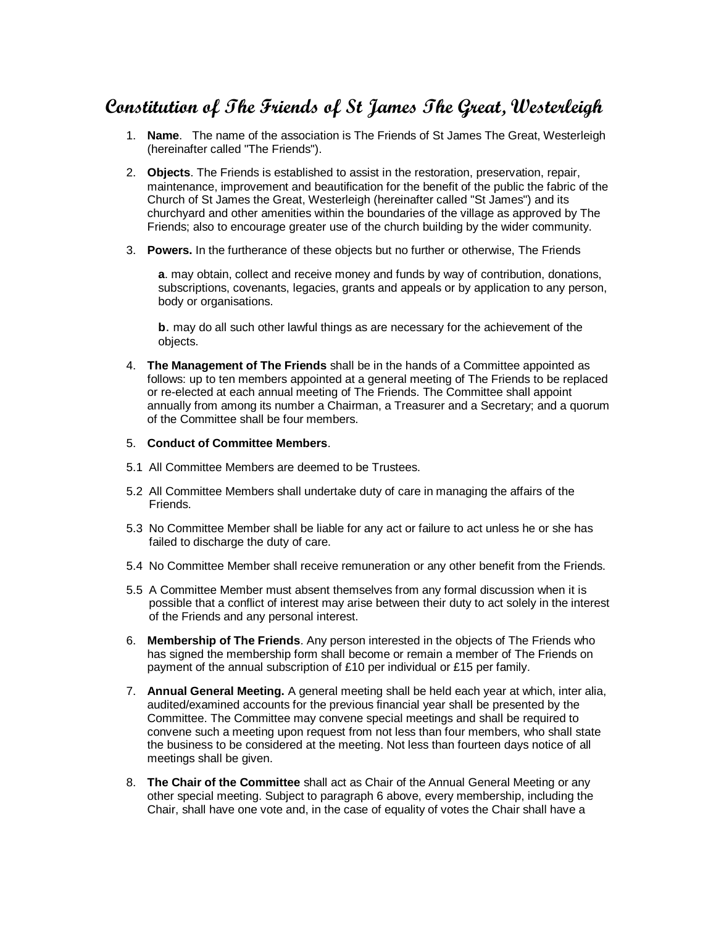## **Constitution of The Friends of St James The Great, Westerleigh**

- 1. **Name**. The name of the association is The Friends of St James The Great, Westerleigh (hereinafter called "The Friends").
- 2. **Objects**. The Friends is established to assist in the restoration, preservation, repair, maintenance, improvement and beautification for the benefit of the public the fabric of the Church of St James the Great, Westerleigh (hereinafter called "St James") and its churchyard and other amenities within the boundaries of the village as approved by The Friends; also to encourage greater use of the church building by the wider community.
- 3. **Powers.** In the furtherance of these objects but no further or otherwise, The Friends

**a**. may obtain, collect and receive money and funds by way of contribution, donations, subscriptions, covenants, legacies, grants and appeals or by application to any person, body or organisations.

**b**. may do all such other lawful things as are necessary for the achievement of the objects.

- 4. **The Management of The Friends** shall be in the hands of a Committee appointed as follows: up to ten members appointed at a general meeting of The Friends to be replaced or re-elected at each annual meeting of The Friends. The Committee shall appoint annually from among its number a Chairman, a Treasurer and a Secretary; and a quorum of the Committee shall be four members.
- 5. **Conduct of Committee Members**.
- 5.1 All Committee Members are deemed to be Trustees.
- 5.2 All Committee Members shall undertake duty of care in managing the affairs of the Friends.
- 5.3 No Committee Member shall be liable for any act or failure to act unless he or she has failed to discharge the duty of care.
- 5.4 No Committee Member shall receive remuneration or any other benefit from the Friends.
- 5.5 A Committee Member must absent themselves from any formal discussion when it is possible that a conflict of interest may arise between their duty to act solely in the interest of the Friends and any personal interest.
- 6. **Membership of The Friends**. Any person interested in the objects of The Friends who has signed the membership form shall become or remain a member of The Friends on payment of the annual subscription of £10 per individual or £15 per family.
- 7. **Annual General Meeting.** A general meeting shall be held each year at which, inter alia, audited/examined accounts for the previous financial year shall be presented by the Committee. The Committee may convene special meetings and shall be required to convene such a meeting upon request from not less than four members, who shall state the business to be considered at the meeting. Not less than fourteen days notice of all meetings shall be given.
- 8. **The Chair of the Committee** shall act as Chair of the Annual General Meeting or any other special meeting. Subject to paragraph 6 above, every membership, including the Chair, shall have one vote and, in the case of equality of votes the Chair shall have a